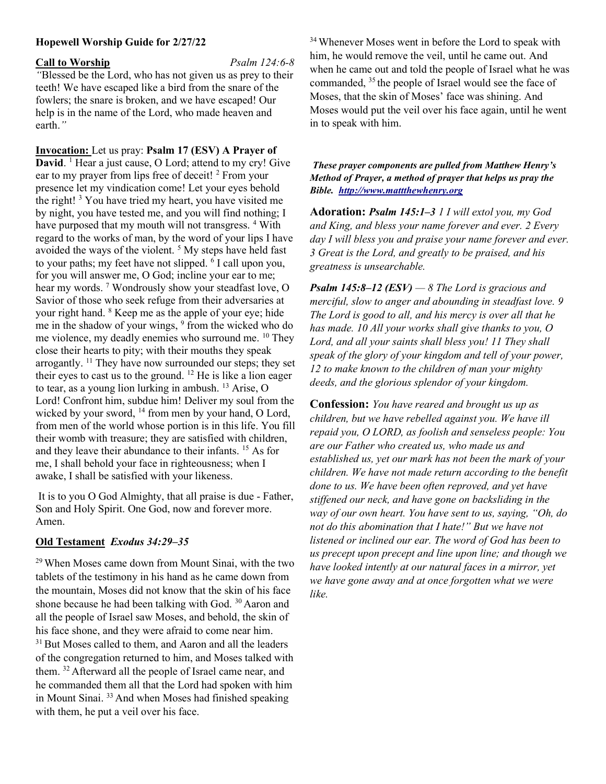### Hopewell Worship Guide for 2/27/22

#### Call to Worship Psalm 124:6-8

"Blessed be the Lord, who has not given us as prey to their teeth! We have escaped like a bird from the snare of the fowlers; the snare is broken, and we have escaped! Our help is in the name of the Lord, who made heaven and earth."

Invocation: Let us pray: Psalm 17 (ESV) A Prayer of David. <sup>1</sup> Hear a just cause, O Lord; attend to my cry! Give ear to my prayer from lips free of deceit! <sup>2</sup> From your presence let my vindication come! Let your eyes behold the right!<sup>3</sup> You have tried my heart, you have visited me by night, you have tested me, and you will find nothing; I have purposed that my mouth will not transgress. <sup>4</sup> With regard to the works of man, by the word of your lips I have avoided the ways of the violent.<sup>5</sup> My steps have held fast to your paths; my feet have not slipped. <sup>6</sup> I call upon you, for you will answer me, O God; incline your ear to me; hear my words.<sup>7</sup> Wondrously show your steadfast love, O Savior of those who seek refuge from their adversaries at your right hand. <sup>8</sup> Keep me as the apple of your eye; hide me in the shadow of your wings, <sup>9</sup> from the wicked who do me violence, my deadly enemies who surround me. <sup>10</sup> They close their hearts to pity; with their mouths they speak arrogantly. <sup>11</sup> They have now surrounded our steps; they set their eyes to cast us to the ground. <sup>12</sup> He is like a lion eager to tear, as a young lion lurking in ambush. <sup>13</sup> Arise, O Lord! Confront him, subdue him! Deliver my soul from the wicked by your sword, <sup>14</sup> from men by your hand, O Lord, from men of the world whose portion is in this life. You fill their womb with treasure; they are satisfied with children, and they leave their abundance to their infants. <sup>15</sup> As for me, I shall behold your face in righteousness; when I awake, I shall be satisfied with your likeness.

 It is to you O God Almighty, that all praise is due - Father, Son and Holy Spirit. One God, now and forever more. Amen.

## Old Testament Exodus 34:29–35

<sup>29</sup>When Moses came down from Mount Sinai, with the two tablets of the testimony in his hand as he came down from the mountain, Moses did not know that the skin of his face shone because he had been talking with God. <sup>30</sup> Aaron and all the people of Israel saw Moses, and behold, the skin of his face shone, and they were afraid to come near him. <sup>31</sup> But Moses called to them, and Aaron and all the leaders of the congregation returned to him, and Moses talked with them. <sup>32</sup>Afterward all the people of Israel came near, and he commanded them all that the Lord had spoken with him in Mount Sinai.  $33$  And when Moses had finished speaking with them, he put a veil over his face.

<sup>34</sup> Whenever Moses went in before the Lord to speak with him, he would remove the veil, until he came out. And when he came out and told the people of Israel what he was commanded,  $35$  the people of Israel would see the face of Moses, that the skin of Moses' face was shining. And Moses would put the veil over his face again, until he went in to speak with him.

#### These prayer components are pulled from Matthew Henry's Method of Prayer, a method of prayer that helps us pray the Bible. http://www.mattthewhenry.org

Adoration: Psalm 145:1-3 1 I will extol you, my God and King, and bless your name forever and ever. 2 Every day I will bless you and praise your name forever and ever. 3 Great is the Lord, and greatly to be praised, and his greatness is unsearchable.

**Psalm 145:8–12 (ESV)** — 8 The Lord is gracious and merciful, slow to anger and abounding in steadfast love. 9 The Lord is good to all, and his mercy is over all that he has made. 10 All your works shall give thanks to you, O Lord, and all your saints shall bless you! 11 They shall speak of the glory of your kingdom and tell of your power, 12 to make known to the children of man your mighty deeds, and the glorious splendor of your kingdom.

Confession: You have reared and brought us up as children, but we have rebelled against you. We have ill repaid you, O LORD, as foolish and senseless people: You are our Father who created us, who made us and established us, yet our mark has not been the mark of your children. We have not made return according to the benefit done to us. We have been often reproved, and yet have stiffened our neck, and have gone on backsliding in the way of our own heart. You have sent to us, saying, "Oh, do not do this abomination that I hate!" But we have not listened or inclined our ear. The word of God has been to us precept upon precept and line upon line; and though we have looked intently at our natural faces in a mirror, yet we have gone away and at once forgotten what we were like.